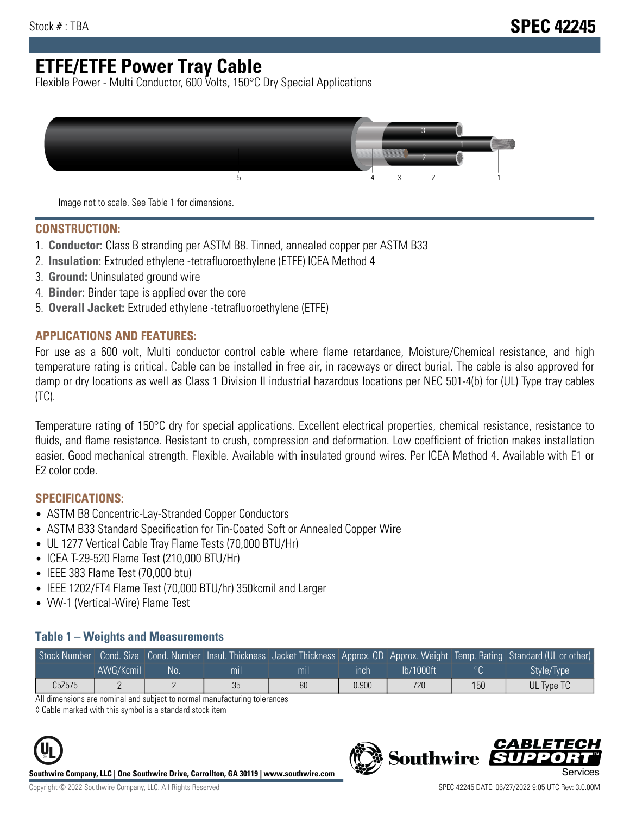# **ETFE/ETFE Power Tray Cable**

Flexible Power - Multi Conductor, 600 Volts, 150°C Dry Special Applications



Image not to scale. See Table 1 for dimensions.

#### **CONSTRUCTION:**

- 1. **Conductor:** Class B stranding per ASTM B8. Tinned, annealed copper per ASTM B33
- 2. **Insulation:** Extruded ethylene -tetrafluoroethylene (ETFE) ICEA Method 4
- 3. **Ground:** Uninsulated ground wire
- 4. **Binder:** Binder tape is applied over the core
- 5. **Overall Jacket:** Extruded ethylene -tetrafluoroethylene (ETFE)

### **APPLICATIONS AND FEATURES:**

For use as a 600 volt, Multi conductor control cable where flame retardance, Moisture/Chemical resistance, and high temperature rating is critical. Cable can be installed in free air, in raceways or direct burial. The cable is also approved for damp or dry locations as well as Class 1 Division II industrial hazardous locations per NEC 501-4(b) for (UL) Type tray cables (TC).

Temperature rating of 150°C dry for special applications. Excellent electrical properties, chemical resistance, resistance to fluids, and flame resistance. Resistant to crush, compression and deformation. Low coefficient of friction makes installation easier. Good mechanical strength. Flexible. Available with insulated ground wires. Per ICEA Method 4. Available with E1 or E2 color code.

### **SPECIFICATIONS:**

- ASTM B8 Concentric-Lay-Stranded Copper Conductors
- ASTM B33 Standard Specification for Tin-Coated Soft or Annealed Copper Wire
- UL 1277 Vertical Cable Tray Flame Tests (70,000 BTU/Hr)
- ICEA T-29-520 Flame Test (210,000 BTU/Hr)
- IEEE 383 Flame Test (70,000 btu)
- IEEE 1202/FT4 Flame Test (70,000 BTU/hr) 350kcmil and Larger
- VW-1 (Vertical-Wire) Flame Test

#### **Table 1 – Weights and Measurements**

| Stock Number |           |    |     |     |       |           |     | Cond. Size Cond. Number Insul. Thickness Jacket Thickness Approx. OD Approx. Weight Temp. Rating Standard (UL or other) |
|--------------|-----------|----|-----|-----|-------|-----------|-----|-------------------------------------------------------------------------------------------------------------------------|
|              | AWG/Kcmil | No | mıl | mil | ınch  | lb/1000ft |     | Style/Type                                                                                                              |
| C5Z575       |           |    | 35  | 80  | 0.900 | 720       | 150 | UL Type TC                                                                                                              |

All dimensions are nominal and subject to normal manufacturing tolerances

◊ Cable marked with this symbol is a standard stock item



**Southwire Company, LLC | One Southwire Drive, Carrollton, GA 30119 | www.southwire.com**